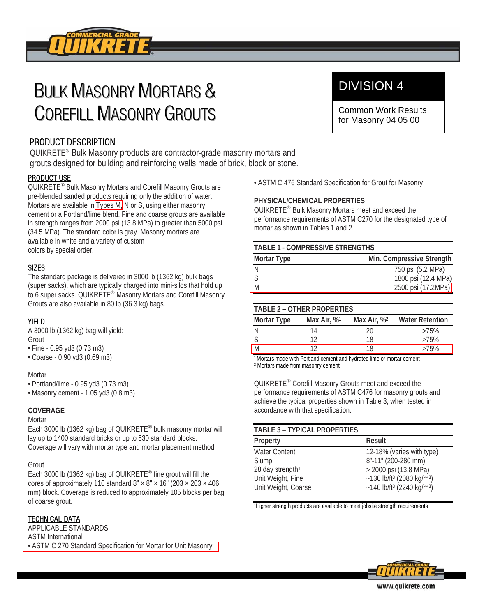

# **BULK MASONRY MORTARS &** COREFILL MASONRY GROUTS

# PRODUCT DESCRIPTION

QUIKRETE® Bulk Masonry products are contractor-grade masonry mortars and grouts designed for building and reinforcing walls made of brick, block or stone.

# PRODUCT USE

QUIKRETE® Bulk Masonry Mortars and Corefill Masonry Grouts are pre-blended sanded products requiring only the addition of water. Mortars are available in Types M, N or S, using either masonry cement or a Portland/lime blend. Fine and coarse grouts are available in strength ranges from 2000 psi (13.8 MPa) to greater than 5000 psi (34.5 MPa). The standard color is gray. Masonry mortars are available in white and a variety of custom colors by special order.

# SIZES

The standard package is delivered in 3000 lb (1362 kg) bulk bags (super sacks), which are typically charged into mini-silos that hold up to 6 super sacks. QUIKRETE® Masonry Mortars and Corefill Masonry Grouts are also available in 80 lb (36.3 kg) bags.

# YIELD

A 3000 lb (1362 kg) bag will yield: Grout

- Fine 0.95 yd3 (0.73 m3)
- Coarse 0.90 yd3 (0.69 m3)

# **Mortar**

- Portland/lime 0.95 yd3 (0.73 m3)
- Masonry cement 1.05 yd3 (0.8 m3)

# **COVERAGE**

# **Mortar**

Each 3000 lb (1362 kg) bag of QUIKRETE® bulk masonry mortar will lay up to 1400 standard bricks or up to 530 standard blocks. Coverage will vary with mortar type and mortar placement method.

# Grout

Each 3000 lb (1362 kg) bag of QUIKRETE® fine grout will fill the cores of approximately 110 standard  $8" \times 8" \times 16"$  (203  $\times$  203  $\times$  406 mm) block. Coverage is reduced to approximately 105 blocks per bag of coarse grout.

# TECHNICAL DATA

APPLICABLE STANDARDS ASTM International • ASTM C 270 Standard Specification for Mortar for Unit Masonry

# DIVISION 4

Common Work Results for Masonry 04 05 00

• ASTM C 476 Standard Specification for Grout for Masonry

# **PHYSICAL/CHEMICAL PROPERTIES**

QUIKRETE® Bulk Masonry Mortars meet and exceed the performance requirements of ASTM C270 for the designated type of mortar as shown in Tables 1 and 2.

| <b>TABLE 1 - COMPRESSIVE STRENGTHS</b> |                           |  |
|----------------------------------------|---------------------------|--|
| Mortar Type                            | Min. Compressive Strength |  |
|                                        | 750 psi (5.2 MPa)         |  |
|                                        | 1800 psi (12.4 MPa)       |  |
| $\overline{\mathsf{M}}$                | 2500 psi (17.2MPa)        |  |

# **TABLE 2 – OTHER PROPERTIES**

| Mortar Type | Max Air, $\%$ <sup>1</sup> | Max Air, % <sup>2</sup> | <b>Water Retention</b> |
|-------------|----------------------------|-------------------------|------------------------|
|             | 14                         | 20                      | >75%                   |
|             | 1າ                         | 18                      | >75%                   |
| M           |                            | 18                      | >75%                   |

1 Mortars made with Portland cement and hydrated lime or mortar cement 2 Mortars made from masonry cement

QUIKRETE® Corefill Masonry Grouts meet and exceed the performance requirements of ASTM C476 for masonry grouts and achieve the typical properties shown in Table 3, when tested in accordance with that specification.

# **TABLE 3 – TYPICAL PROPERTIES**

| Property                     | Result                                              |
|------------------------------|-----------------------------------------------------|
| <b>Water Content</b>         | 12-18% (varies with type)                           |
| Slump                        | 8"-11" (200-280 mm)                                 |
| 28 day strength <sup>1</sup> | > 2000 psi (13.8 MPa)                               |
| Unit Weight, Fine            | $~130$ lb/ft <sup>3</sup> (2080 kg/m <sup>3</sup> ) |
| Unit Weight, Coarse          | ~140 lb/ft <sup>3</sup> (2240 kg/m <sup>3</sup> )   |
|                              |                                                     |

1Higher strength products are available to meet jobsite strength requirements